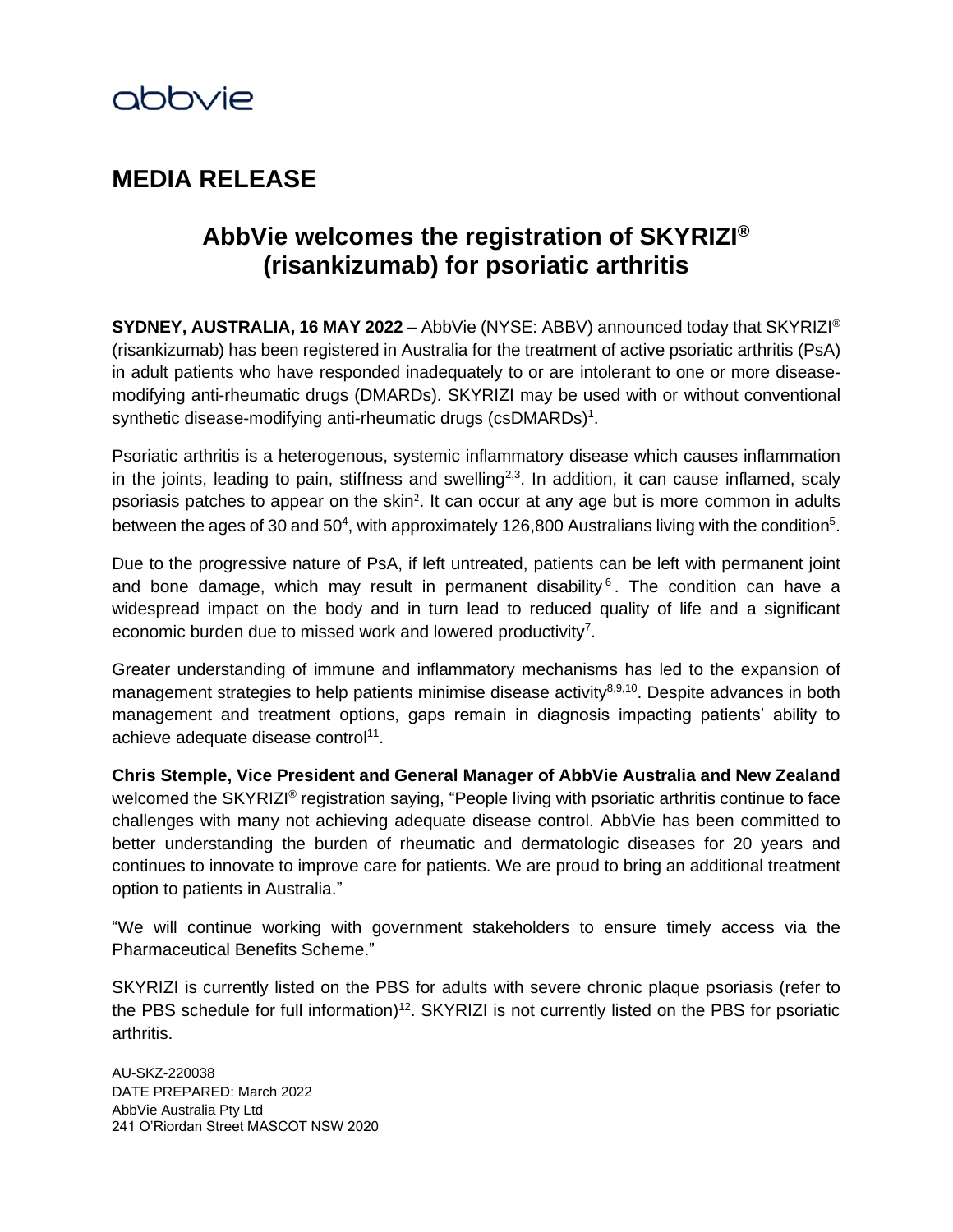

# **MEDIA RELEASE**

# <span id="page-0-0"></span>**AbbVie welcomes the registration of SKYRIZI® (risankizumab) for psoriatic arthritis**

**SYDNEY, AUSTRALIA, 16 MAY 2022** – AbbVie (NYSE: ABBV) announced today that SKYRIZI® (risankizumab) has been registered in Australia for the treatment of active psoriatic arthritis (PsA) in adult patients who have responded inadequately to or are intolerant to one or more diseasemodifying anti-rheumatic drugs (DMARDs). SKYRIZI may be used with or without conventional synthetic disease-modifying anti-rheumatic drugs (csDMARDs) $^1$ .

Psoriatic arthritis is a heterogenous, systemic inflammatory disease which causes inflammation in the joints, leading to pain, stiffness and swelling<sup>2,3</sup>. In addition, it can cause inflamed, scaly psoriasis patches to appear on the skin<sup>2</sup>. It can occur at any age but is more common in adults between the ages of 30 and 50<sup>4</sup>, with approximately 126,800 Australians living with the condition<sup>5</sup>.

Due to the progressive nature of PsA, if left untreated, patients can be left with permanent joint and bone damage, which may result in permanent disability  $6$ . The condition can have a widespread impact on the body and in turn lead to reduced quality of life and a significant economic burden due to missed work and lowered productivity<sup>7</sup>.

Greater understanding of immune and inflammatory mechanisms has led to the expansion of management strategies to help patients minimise disease activity<sup>8,9,10</sup>. Despite advances in both management and treatment options, gaps remain in diagnosis impacting patients' ability to achieve adequate disease control<sup>11</sup>.

**Chris Stemple, Vice President and General Manager of AbbVie Australia and New Zealand** welcomed the SKYRIZI® registration saying, "People living with psoriatic arthritis continue to face challenges with many not achieving adequate disease control. AbbVie has been committed to better understanding the burden of rheumatic and dermatologic diseases for 20 years and continues to innovate to improve care for patients. We are proud to bring an additional treatment option to patients in Australia."

"We will continue working with government stakeholders to ensure timely access via the Pharmaceutical Benefits Scheme."

SKYRIZI is currently listed on the PBS for adults with severe chronic plaque psoriasis (refer to the PBS schedule for full information)<sup>12</sup>. SKYRIZI is not currently listed on the PBS for psoriatic arthritis.

AU-SKZ-220038 DATE PREPARED: March 2022 AbbVie Australia Pty Ltd 241 O'Riordan Street MASCOT NSW 2020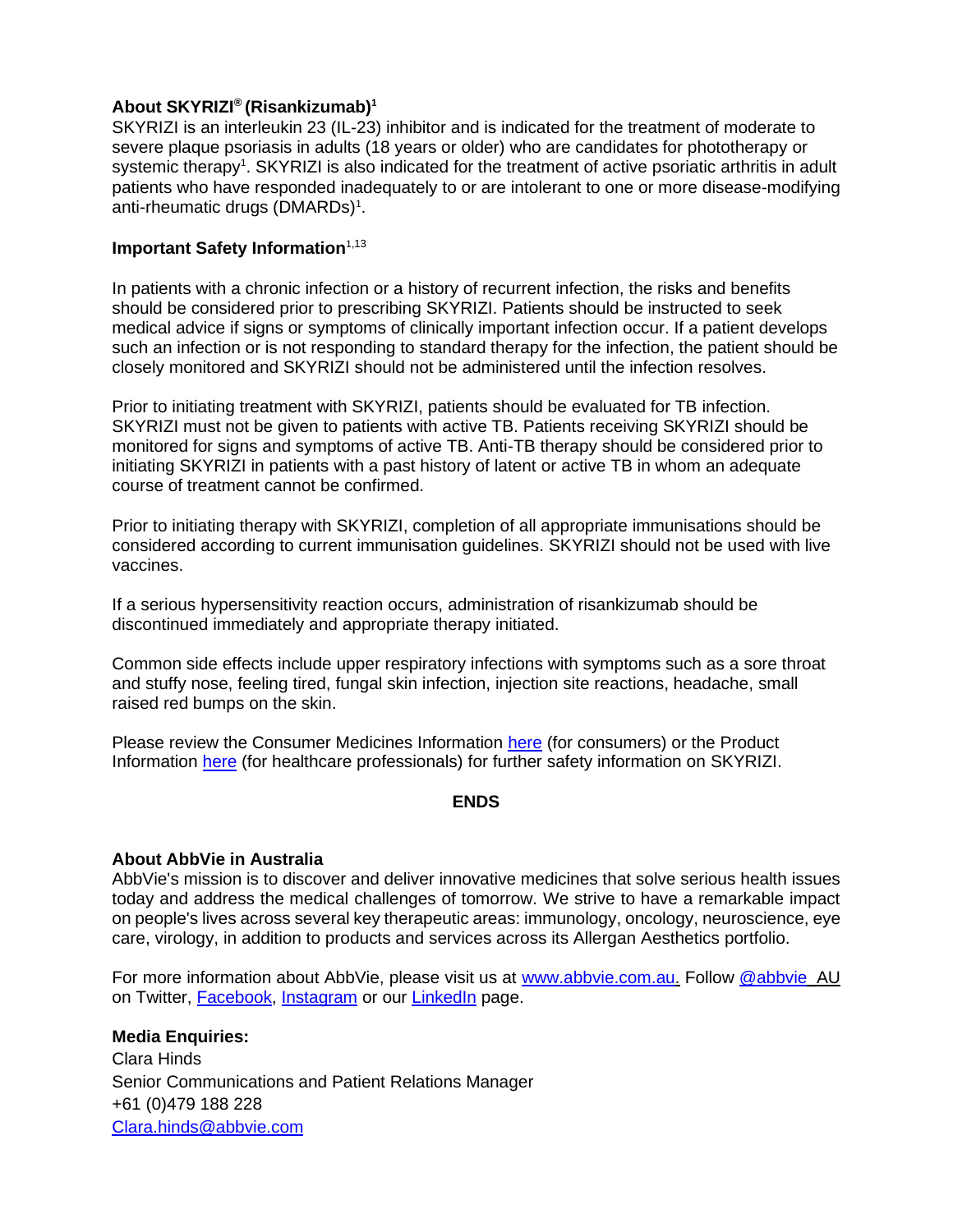# **About SKYRIZI® (Risankizumab)<sup>1</sup>**

SKYRIZI is an interleukin 23 (IL-23) inhibitor and is indicated for the treatment of moderate to severe plaque psoriasis in adults (18 years or older) who are candidates for phototherapy or s[y](#page-0-0)stemic therapy<sup>1</sup>. SKYRIZI is also indicated for the treatment of active psoriatic arthritis in adult patients who have responded inadequately to or are intolerant to one or more disease-modifying anti-rheumatic drugs (DMARDs[\)](#page-0-0)<sup>1</sup>.

## **Important Safety Information**<sup>1,13</sup>

In patients with a chronic infection or a history of recurrent infection, the risks and benefits should be considered prior to prescribing SKYRIZI. Patients should be instructed to seek medical advice if signs or symptoms of clinically important infection occur. If a patient develops such an infection or is not responding to standard therapy for the infection, the patient should be closely monitored and SKYRIZI should not be administered until the infection resolves.

Prior to initiating treatment with SKYRIZI, patients should be evaluated for TB infection. SKYRIZI must not be given to patients with active TB. Patients receiving SKYRIZI should be monitored for signs and symptoms of active TB. Anti-TB therapy should be considered prior to initiating SKYRIZI in patients with a past history of latent or active TB in whom an adequate course of treatment cannot be confirmed.

Prior to initiating therapy with SKYRIZI, completion of all appropriate immunisations should be considered according to current immunisation guidelines. SKYRIZI should not be used with live vaccines.

If a serious hypersensitivity reaction occurs, administration of risankizumab should be discontinued immediately and appropriate therapy initiated.

Common side effects include upper respiratory infections with symptoms such as a sore throat and stuffy nose, feeling tired, fungal skin infection, injection site reactions, headache, small raised red bumps on the skin.

Please review the Consumer Medicines Information [here](https://www.ebs.tga.gov.au/ebs/picmi/picmirepository.nsf/pdf?OpenAgent&id=CP-2019-CMI-01703-1) (for consumers) or the Product Information [here](http://www.medicines.org.au/files/vepskyri.pdf) (for healthcare professionals) for further safety information on SKYRIZI.

#### **ENDS**

#### **About AbbVie in Australia**

AbbVie's mission is to discover and deliver innovative medicines that solve serious health issues today and address the medical challenges of tomorrow. We strive to have a remarkable impact on people's lives across several key therapeutic areas: immunology, oncology, neuroscience, eye care, virology, in addition to products and services across its Allergan Aesthetics portfolio.

For more information about AbbVie, please visit us at [www.abbvie.com.au.](http://www.abbvie.com.au/) Follow [@abbvie\\_](http://twitter.com/abbvie_au)AU on Twitter, [Facebook,](https://www.facebook.com/abbvieaustralia) [Instagram](https://www.instagram.com/abbvieaustralia/) or our [LinkedIn](http://www.linkedin.com/company/abbvie) page.

## **Media Enquiries:**

Clara Hinds Senior Communications and Patient Relations Manager +61 (0)479 188 228 [Clara.hinds@abbvie.com](mailto:Clara.hinds@abbvie.com)